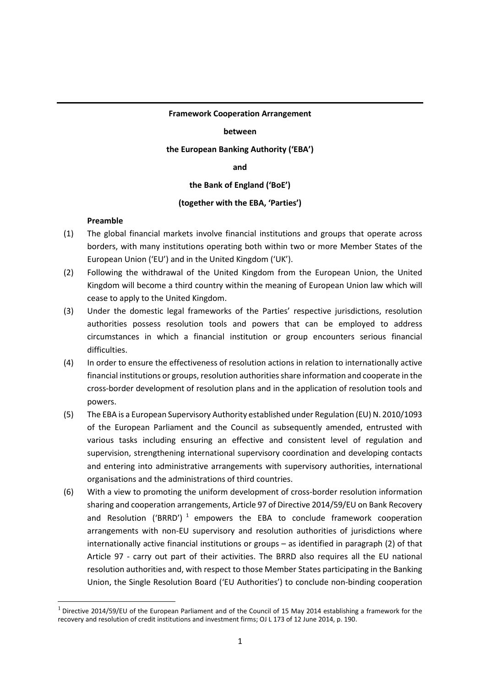#### **between**

#### **the European Banking Authority ('EBA')**

#### **and**

#### **the Bank of England ('BoE')**

## **(together with the EBA, 'Parties')**

## **Preamble**

.

- (1) The global financial markets involve financial institutions and groups that operate across borders, with many institutions operating both within two or more Member States of the European Union ('EU') and in the United Kingdom ('UK').
- (2) Following the withdrawal of the United Kingdom from the European Union, the United Kingdom will become a third country within the meaning of European Union law which will cease to apply to the United Kingdom.
- (3) Under the domestic legal frameworks of the Parties' respective jurisdictions, resolution authorities possess resolution tools and powers that can be employed to address circumstances in which a financial institution or group encounters serious financial difficulties.
- (4) In order to ensure the effectiveness of resolution actions in relation to internationally active financial institutions or groups, resolution authorities share information and cooperate in the cross-border development of resolution plans and in the application of resolution tools and powers.
- (5) The EBA is a European Supervisory Authority established under Regulation (EU) N. 2010/1093 of the European Parliament and the Council as subsequently amended, entrusted with various tasks including ensuring an effective and consistent level of regulation and supervision, strengthening international supervisory coordination and developing contacts and entering into administrative arrangements with supervisory authorities, international organisations and the administrations of third countries.
- (6) With a view to promoting the uniform development of cross-border resolution information sharing and cooperation arrangements, Article 97 of Directive 2014/59/EU on Bank Recovery and Resolution ('BRRD')<sup>[1](#page-0-0)</sup> empowers the EBA to conclude framework cooperation arrangements with non-EU supervisory and resolution authorities of jurisdictions where internationally active financial institutions or groups – as identified in paragraph (2) of that Article 97 - carry out part of their activities. The BRRD also requires all the EU national resolution authorities and, with respect to those Member States participating in the Banking Union, the Single Resolution Board ('EU Authorities') to conclude non-binding cooperation

<span id="page-0-0"></span> $1$  Directive 2014/59/EU of the European Parliament and of the Council of 15 May 2014 establishing a framework for the recovery and resolution of credit institutions and investment firms; OJ L 173 of 12 June 2014, p. 190.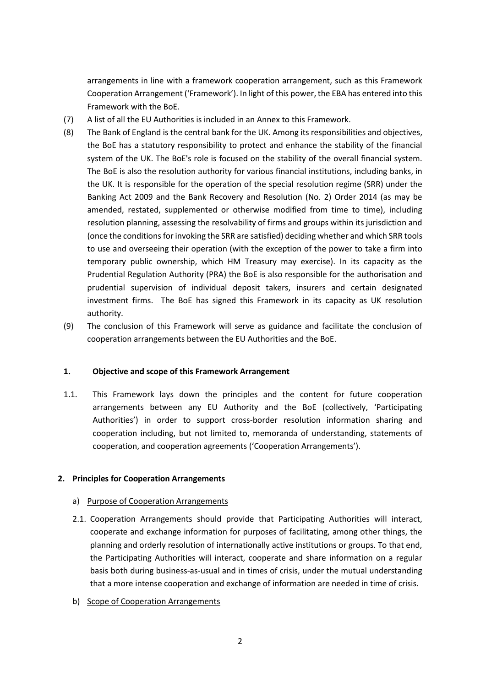arrangements in line with a framework cooperation arrangement, such as this Framework Cooperation Arrangement ('Framework'). In light of this power, the EBA has entered into this Framework with the BoE.

- (7) A list of all the EU Authorities is included in an Annex to this Framework.
- (8) The Bank of England is the central bank for the UK. Among its responsibilities and objectives, the BoE has a statutory responsibility to protect and enhance the stability of the financial system of the UK. The BoE's role is focused on the stability of the overall financial system. The BoE is also the resolution authority for various financial institutions, including banks, in the UK. It is responsible for the operation of the special resolution regime (SRR) under the Banking Act 2009 and the Bank Recovery and Resolution (No. 2) Order 2014 (as may be amended, restated, supplemented or otherwise modified from time to time), including resolution planning, assessing the resolvability of firms and groups within its jurisdiction and (once the conditions for invoking the SRR are satisfied) deciding whether and which SRR tools to use and overseeing their operation (with the exception of the power to take a firm into temporary public ownership, which HM Treasury may exercise). In its capacity as the Prudential Regulation Authority (PRA) the BoE is also responsible for the authorisation and prudential supervision of individual deposit takers, insurers and certain designated investment firms. The BoE has signed this Framework in its capacity as UK resolution authority.
- (9) The conclusion of this Framework will serve as guidance and facilitate the conclusion of cooperation arrangements between the EU Authorities and the BoE.

# **1. Objective and scope of this Framework Arrangement**

1.1. This Framework lays down the principles and the content for future cooperation arrangements between any EU Authority and the BoE (collectively, 'Participating Authorities') in order to support cross-border resolution information sharing and cooperation including, but not limited to, memoranda of understanding, statements of cooperation, and cooperation agreements ('Cooperation Arrangements').

## **2. Principles for Cooperation Arrangements**

## a) Purpose of Cooperation Arrangements

- 2.1. Cooperation Arrangements should provide that Participating Authorities will interact, cooperate and exchange information for purposes of facilitating, among other things, the planning and orderly resolution of internationally active institutions or groups. To that end, the Participating Authorities will interact, cooperate and share information on a regular basis both during business-as-usual and in times of crisis, under the mutual understanding that a more intense cooperation and exchange of information are needed in time of crisis.
- b) Scope of Cooperation Arrangements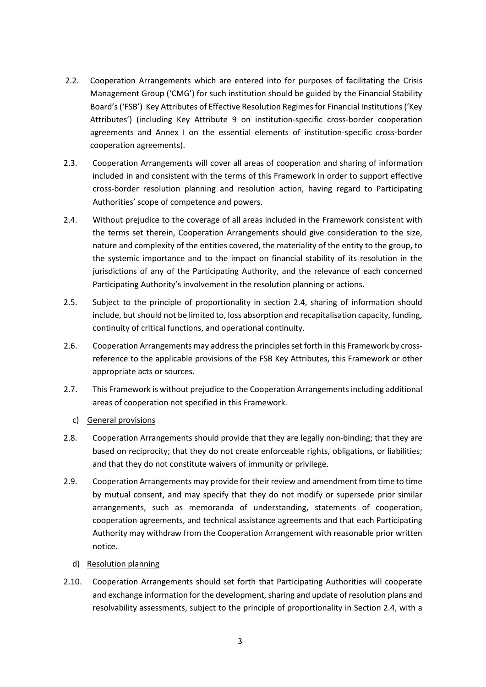- 2.2. Cooperation Arrangements which are entered into for purposes of facilitating the Crisis Management Group ('CMG') for such institution should be guided by the Financial Stability Board's ('FSB') Key Attributes of Effective Resolution Regimes for Financial Institutions ('Key Attributes') (including Key Attribute 9 on institution-specific cross-border cooperation agreements and Annex I on the essential elements of institution-specific cross-border cooperation agreements).
- 2.3. Cooperation Arrangements will cover all areas of cooperation and sharing of information included in and consistent with the terms of this Framework in order to support effective cross-border resolution planning and resolution action, having regard to Participating Authorities' scope of competence and powers.
- 2.4. Without prejudice to the coverage of all areas included in the Framework consistent with the terms set therein, Cooperation Arrangements should give consideration to the size, nature and complexity of the entities covered, the materiality of the entity to the group, to the systemic importance and to the impact on financial stability of its resolution in the jurisdictions of any of the Participating Authority, and the relevance of each concerned Participating Authority's involvement in the resolution planning or actions.
- 2.5. Subject to the principle of proportionality in section 2.4, sharing of information should include, but should not be limited to, loss absorption and recapitalisation capacity, funding, continuity of critical functions, and operational continuity.
- 2.6. Cooperation Arrangements may address the principles set forth in this Framework by crossreference to the applicable provisions of the FSB Key Attributes, this Framework or other appropriate acts or sources.
- 2.7. This Framework is without prejudice to the Cooperation Arrangements including additional areas of cooperation not specified in this Framework.
	- c) General provisions
- 2.8. Cooperation Arrangements should provide that they are legally non-binding; that they are based on reciprocity; that they do not create enforceable rights, obligations, or liabilities; and that they do not constitute waivers of immunity or privilege.
- 2.9. Cooperation Arrangements may provide for their review and amendment from time to time by mutual consent, and may specify that they do not modify or supersede prior similar arrangements, such as memoranda of understanding, statements of cooperation, cooperation agreements, and technical assistance agreements and that each Participating Authority may withdraw from the Cooperation Arrangement with reasonable prior written notice.
	- d) Resolution planning
- 2.10. Cooperation Arrangements should set forth that Participating Authorities will cooperate and exchange information for the development, sharing and update of resolution plans and resolvability assessments, subject to the principle of proportionality in Section 2.4, with a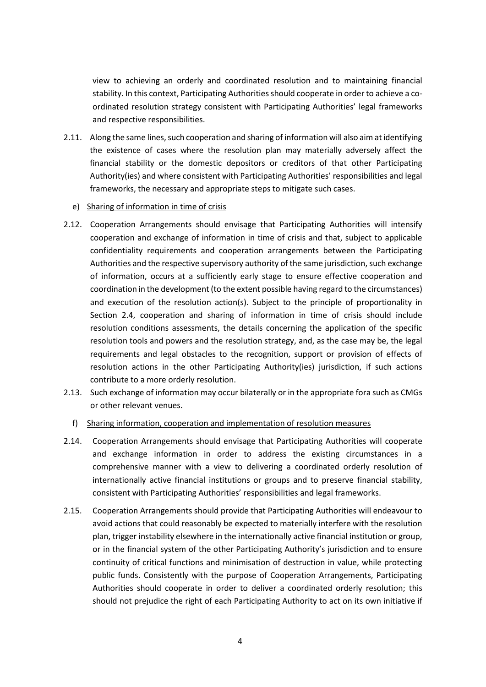view to achieving an orderly and coordinated resolution and to maintaining financial stability. In this context, Participating Authorities should cooperate in order to achieve a coordinated resolution strategy consistent with Participating Authorities' legal frameworks and respective responsibilities.

- 2.11. Along the same lines, such cooperation and sharing of information will also aim at identifying the existence of cases where the resolution plan may materially adversely affect the financial stability or the domestic depositors or creditors of that other Participating Authority(ies) and where consistent with Participating Authorities' responsibilities and legal frameworks, the necessary and appropriate steps to mitigate such cases.
	- e) Sharing of information in time of crisis
- 2.12. Cooperation Arrangements should envisage that Participating Authorities will intensify cooperation and exchange of information in time of crisis and that, subject to applicable confidentiality requirements and cooperation arrangements between the Participating Authorities and the respective supervisory authority of the same jurisdiction, such exchange of information, occurs at a sufficiently early stage to ensure effective cooperation and coordination in the development (to the extent possible having regard to the circumstances) and execution of the resolution action(s). Subject to the principle of proportionality in Section 2.4, cooperation and sharing of information in time of crisis should include resolution conditions assessments, the details concerning the application of the specific resolution tools and powers and the resolution strategy, and, as the case may be, the legal requirements and legal obstacles to the recognition, support or provision of effects of resolution actions in the other Participating Authority(ies) jurisdiction, if such actions contribute to a more orderly resolution.
- 2.13. Such exchange of information may occur bilaterally or in the appropriate fora such as CMGs or other relevant venues.
	- f) Sharing information, cooperation and implementation of resolution measures
- 2.14. Cooperation Arrangements should envisage that Participating Authorities will cooperate and exchange information in order to address the existing circumstances in a comprehensive manner with a view to delivering a coordinated orderly resolution of internationally active financial institutions or groups and to preserve financial stability, consistent with Participating Authorities' responsibilities and legal frameworks.
- 2.15. Cooperation Arrangements should provide that Participating Authorities will endeavour to avoid actions that could reasonably be expected to materially interfere with the resolution plan, trigger instability elsewhere in the internationally active financial institution or group, or in the financial system of the other Participating Authority's jurisdiction and to ensure continuity of critical functions and minimisation of destruction in value, while protecting public funds. Consistently with the purpose of Cooperation Arrangements, Participating Authorities should cooperate in order to deliver a coordinated orderly resolution; this should not prejudice the right of each Participating Authority to act on its own initiative if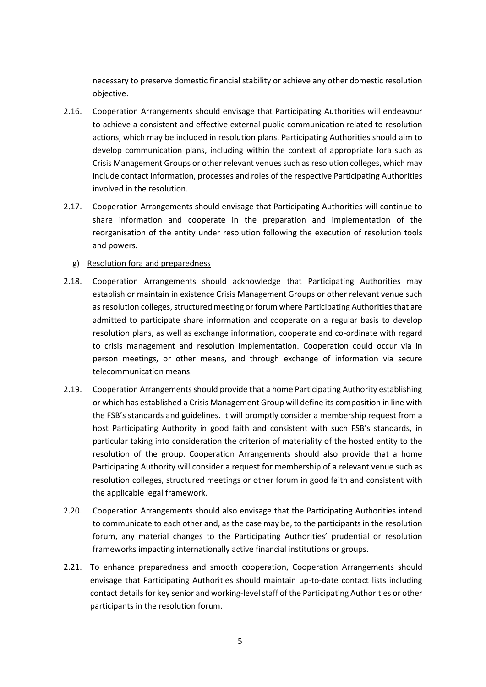necessary to preserve domestic financial stability or achieve any other domestic resolution objective.

- 2.16. Cooperation Arrangements should envisage that Participating Authorities will endeavour to achieve a consistent and effective external public communication related to resolution actions, which may be included in resolution plans. Participating Authorities should aim to develop communication plans, including within the context of appropriate fora such as Crisis Management Groups or other relevant venuessuch as resolution colleges, which may include contact information, processes and roles of the respective Participating Authorities involved in the resolution.
- 2.17. Cooperation Arrangements should envisage that Participating Authorities will continue to share information and cooperate in the preparation and implementation of the reorganisation of the entity under resolution following the execution of resolution tools and powers.

#### g) Resolution fora and preparedness

- 2.18. Cooperation Arrangements should acknowledge that Participating Authorities may establish or maintain in existence Crisis Management Groups or other relevant venue such as resolution colleges, structured meeting or forum where Participating Authorities that are admitted to participate share information and cooperate on a regular basis to develop resolution plans, as well as exchange information, cooperate and co-ordinate with regard to crisis management and resolution implementation. Cooperation could occur via in person meetings, or other means, and through exchange of information via secure telecommunication means.
- 2.19. Cooperation Arrangements should provide that a home Participating Authority establishing or which has established a Crisis Management Group will define its composition in line with the FSB's standards and guidelines. It will promptly consider a membership request from a host Participating Authority in good faith and consistent with such FSB's standards, in particular taking into consideration the criterion of materiality of the hosted entity to the resolution of the group. Cooperation Arrangements should also provide that a home Participating Authority will consider a request for membership of a relevant venue such as resolution colleges, structured meetings or other forum in good faith and consistent with the applicable legal framework.
- 2.20. Cooperation Arrangements should also envisage that the Participating Authorities intend to communicate to each other and, as the case may be, to the participants in the resolution forum, any material changes to the Participating Authorities' prudential or resolution frameworks impacting internationally active financial institutions or groups.
- 2.21. To enhance preparedness and smooth cooperation, Cooperation Arrangements should envisage that Participating Authorities should maintain up-to-date contact lists including contact details for key senior and working-level staff of the Participating Authorities or other participants in the resolution forum.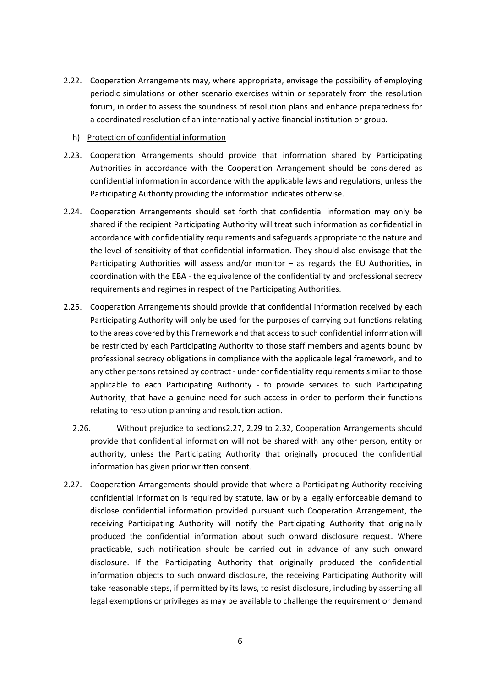- 2.22. Cooperation Arrangements may, where appropriate, envisage the possibility of employing periodic simulations or other scenario exercises within or separately from the resolution forum, in order to assess the soundness of resolution plans and enhance preparedness for a coordinated resolution of an internationally active financial institution or group.
	- h) Protection of confidential information
- 2.23. Cooperation Arrangements should provide that information shared by Participating Authorities in accordance with the Cooperation Arrangement should be considered as confidential information in accordance with the applicable laws and regulations, unless the Participating Authority providing the information indicates otherwise.
- 2.24. Cooperation Arrangements should set forth that confidential information may only be shared if the recipient Participating Authority will treat such information as confidential in accordance with confidentiality requirements and safeguards appropriate to the nature and the level of sensitivity of that confidential information. They should also envisage that the Participating Authorities will assess and/or monitor – as regards the EU Authorities, in coordination with the EBA - the equivalence of the confidentiality and professional secrecy requirements and regimes in respect of the Participating Authorities.
- 2.25. Cooperation Arrangements should provide that confidential information received by each Participating Authority will only be used for the purposes of carrying out functions relating to the areas covered by this Framework and that access to such confidential information will be restricted by each Participating Authority to those staff members and agents bound by professional secrecy obligations in compliance with the applicable legal framework, and to any other persons retained by contract - under confidentiality requirements similar to those applicable to each Participating Authority - to provide services to such Participating Authority, that have a genuine need for such access in order to perform their functions relating to resolution planning and resolution action.
	- 2.26. Without prejudice to sections2.27, 2.29 to 2.32, Cooperation Arrangements should provide that confidential information will not be shared with any other person, entity or authority, unless the Participating Authority that originally produced the confidential information has given prior written consent.
- 2.27. Cooperation Arrangements should provide that where a Participating Authority receiving confidential information is required by statute, law or by a legally enforceable demand to disclose confidential information provided pursuant such Cooperation Arrangement, the receiving Participating Authority will notify the Participating Authority that originally produced the confidential information about such onward disclosure request. Where practicable, such notification should be carried out in advance of any such onward disclosure. If the Participating Authority that originally produced the confidential information objects to such onward disclosure, the receiving Participating Authority will take reasonable steps, if permitted by its laws, to resist disclosure, including by asserting all legal exemptions or privileges as may be available to challenge the requirement or demand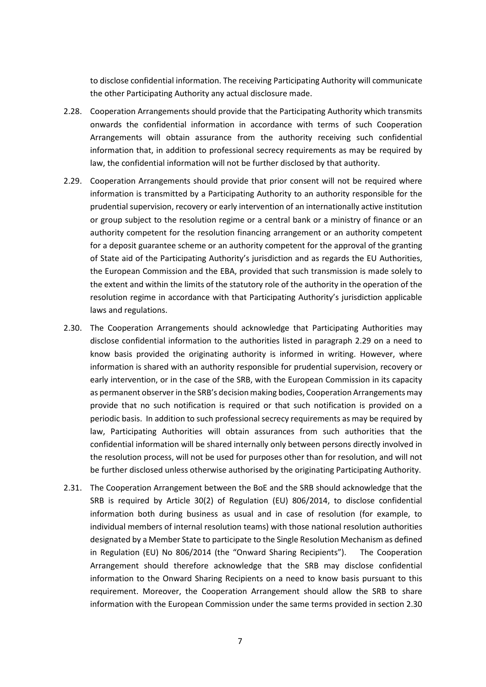to disclose confidential information. The receiving Participating Authority will communicate the other Participating Authority any actual disclosure made.

- 2.28. Cooperation Arrangements should provide that the Participating Authority which transmits onwards the confidential information in accordance with terms of such Cooperation Arrangements will obtain assurance from the authority receiving such confidential information that, in addition to professional secrecy requirements as may be required by law, the confidential information will not be further disclosed by that authority.
- 2.29. Cooperation Arrangements should provide that prior consent will not be required where information is transmitted by a Participating Authority to an authority responsible for the prudential supervision, recovery or early intervention of an internationally active institution or group subject to the resolution regime or a central bank or a ministry of finance or an authority competent for the resolution financing arrangement or an authority competent for a deposit guarantee scheme or an authority competent for the approval of the granting of State aid of the Participating Authority's jurisdiction and as regards the EU Authorities, the European Commission and the EBA, provided that such transmission is made solely to the extent and within the limits of the statutory role of the authority in the operation of the resolution regime in accordance with that Participating Authority's jurisdiction applicable laws and regulations.
- 2.30. The Cooperation Arrangements should acknowledge that Participating Authorities may disclose confidential information to the authorities listed in paragraph 2.29 on a need to know basis provided the originating authority is informed in writing. However, where information is shared with an authority responsible for prudential supervision, recovery or early intervention, or in the case of the SRB, with the European Commission in its capacity as permanent observer in the SRB's decision making bodies, Cooperation Arrangements may provide that no such notification is required or that such notification is provided on a periodic basis. In addition to such professional secrecy requirements as may be required by law, Participating Authorities will obtain assurances from such authorities that the confidential information will be shared internally only between persons directly involved in the resolution process, will not be used for purposes other than for resolution, and will not be further disclosed unless otherwise authorised by the originating Participating Authority.
- 2.31. The Cooperation Arrangement between the BoE and the SRB should acknowledge that the SRB is required by Article 30(2) of Regulation (EU) 806/2014, to disclose confidential information both during business as usual and in case of resolution (for example, to individual members of internal resolution teams) with those national resolution authorities designated by a Member State to participate to the Single Resolution Mechanism as defined in Regulation (EU) No 806/2014 (the "Onward Sharing Recipients"). The Cooperation Arrangement should therefore acknowledge that the SRB may disclose confidential information to the Onward Sharing Recipients on a need to know basis pursuant to this requirement. Moreover, the Cooperation Arrangement should allow the SRB to share information with the European Commission under the same terms provided in section 2.30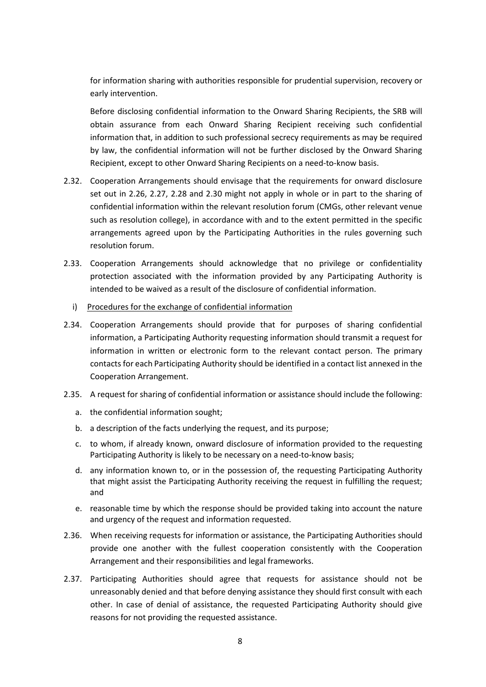for information sharing with authorities responsible for prudential supervision, recovery or early intervention.

Before disclosing confidential information to the Onward Sharing Recipients, the SRB will obtain assurance from each Onward Sharing Recipient receiving such confidential information that, in addition to such professional secrecy requirements as may be required by law, the confidential information will not be further disclosed by the Onward Sharing Recipient, except to other Onward Sharing Recipients on a need-to-know basis.

- 2.32. Cooperation Arrangements should envisage that the requirements for onward disclosure set out in 2.26, 2.27, 2.28 and 2.30 might not apply in whole or in part to the sharing of confidential information within the relevant resolution forum (CMGs, other relevant venue such as resolution college), in accordance with and to the extent permitted in the specific arrangements agreed upon by the Participating Authorities in the rules governing such resolution forum.
- 2.33. Cooperation Arrangements should acknowledge that no privilege or confidentiality protection associated with the information provided by any Participating Authority is intended to be waived as a result of the disclosure of confidential information.
	- i) Procedures for the exchange of confidential information
- 2.34. Cooperation Arrangements should provide that for purposes of sharing confidential information, a Participating Authority requesting information should transmit a request for information in written or electronic form to the relevant contact person. The primary contacts for each Participating Authority should be identified in a contact list annexed in the Cooperation Arrangement.
- 2.35. A request for sharing of confidential information or assistance should include the following:
	- a. the confidential information sought;
	- b. a description of the facts underlying the request, and its purpose;
	- c. to whom, if already known, onward disclosure of information provided to the requesting Participating Authority is likely to be necessary on a need-to-know basis;
	- d. any information known to, or in the possession of, the requesting Participating Authority that might assist the Participating Authority receiving the request in fulfilling the request; and
	- e. reasonable time by which the response should be provided taking into account the nature and urgency of the request and information requested.
- 2.36. When receiving requests for information or assistance, the Participating Authorities should provide one another with the fullest cooperation consistently with the Cooperation Arrangement and their responsibilities and legal frameworks.
- 2.37. Participating Authorities should agree that requests for assistance should not be unreasonably denied and that before denying assistance they should first consult with each other. In case of denial of assistance, the requested Participating Authority should give reasons for not providing the requested assistance.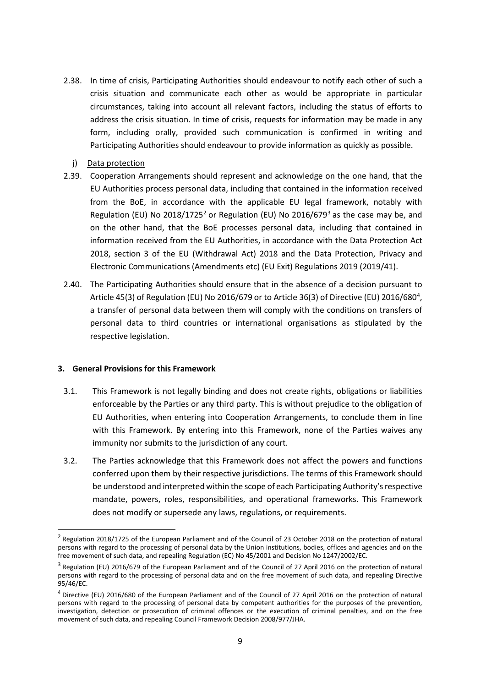- 2.38. In time of crisis, Participating Authorities should endeavour to notify each other of such a crisis situation and communicate each other as would be appropriate in particular circumstances, taking into account all relevant factors, including the status of efforts to address the crisis situation. In time of crisis, requests for information may be made in any form, including orally, provided such communication is confirmed in writing and Participating Authorities should endeavour to provide information as quickly as possible.
	- j) Data protection
- 2.39. Cooperation Arrangements should represent and acknowledge on the one hand, that the EU Authorities process personal data, including that contained in the information received from the BoE, in accordance with the applicable EU legal framework, notably with Regulation (EU) No [2](#page-8-0)018/1725<sup>2</sup> or Regulation (EU) No 2016/679<sup>[3](#page-8-1)</sup> as the case may be, and on the other hand, that the BoE processes personal data, including that contained in information received from the EU Authorities, in accordance with the Data Protection Act 2018, section 3 of the EU (Withdrawal Act) 2018 and the Data Protection, Privacy and Electronic Communications (Amendments etc) (EU Exit) Regulations 2019 (2019/41).
- 2.40. The Participating Authorities should ensure that in the absence of a decision pursuant to Article [4](#page-8-2)5(3) of Regulation (EU) No 2016/679 or to Article 36(3) of Directive (EU) 2016/680<sup>4</sup>, a transfer of personal data between them will comply with the conditions on transfers of personal data to third countries or international organisations as stipulated by the respective legislation.

## **3. General Provisions for this Framework**

1

- 3.1. This Framework is not legally binding and does not create rights, obligations or liabilities enforceable by the Parties or any third party. This is without prejudice to the obligation of EU Authorities, when entering into Cooperation Arrangements, to conclude them in line with this Framework. By entering into this Framework, none of the Parties waives any immunity nor submits to the jurisdiction of any court.
- 3.2. The Parties acknowledge that this Framework does not affect the powers and functions conferred upon them by their respective jurisdictions. The terms of this Framework should be understood and interpreted within the scope of each Participating Authority's respective mandate, powers, roles, responsibilities, and operational frameworks. This Framework does not modify or supersede any laws, regulations, or requirements.

<span id="page-8-0"></span><sup>&</sup>lt;sup>2</sup> Regulation 2018/1725 of the European Parliament and of the Council of 23 October 2018 on the protection of natural persons with regard to the processing of personal data by the Union institutions, bodies, offices and agencies and on the free movement of such data, and repealing Regulation (EC) No 45/2001 and Decision No 1247/2002/EC.

<span id="page-8-1"></span><sup>&</sup>lt;sup>3</sup> Regulation (EU) 2016/679 of the European Parliament and of the Council of 27 April 2016 on the protection of natural persons with regard to the processing of personal data and on the free movement of such data, and repealing Directive 95/46/EC.

<span id="page-8-2"></span><sup>4</sup> Directive (EU) 2016/680 of the European Parliament and of the Council of 27 April 2016 on the protection of natural persons with regard to the processing of personal data by competent authorities for the purposes of the prevention, investigation, detection or prosecution of criminal offences or the execution of criminal penalties, and on the free movement of such data, and repealing Council Framework Decision 2008/977/JHA.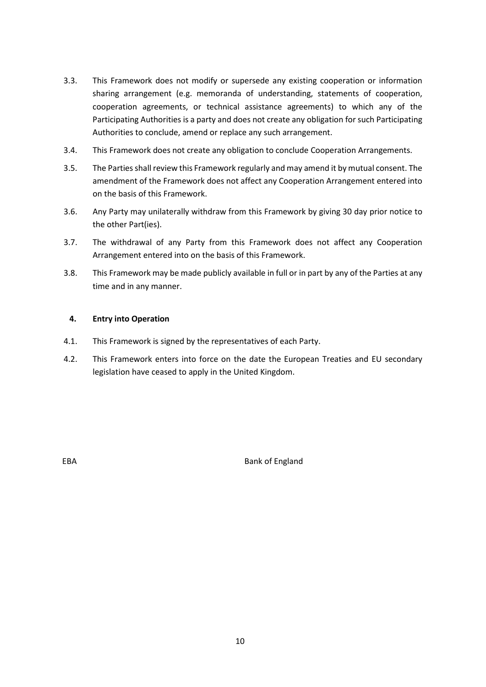- 3.3. This Framework does not modify or supersede any existing cooperation or information sharing arrangement (e.g. memoranda of understanding, statements of cooperation, cooperation agreements, or technical assistance agreements) to which any of the Participating Authorities is a party and does not create any obligation for such Participating Authorities to conclude, amend or replace any such arrangement.
- 3.4. This Framework does not create any obligation to conclude Cooperation Arrangements.
- 3.5. The Parties shall review this Framework regularly and may amend it by mutual consent. The amendment of the Framework does not affect any Cooperation Arrangement entered into on the basis of this Framework.
- 3.6. Any Party may unilaterally withdraw from this Framework by giving 30 day prior notice to the other Part(ies).
- 3.7. The withdrawal of any Party from this Framework does not affect any Cooperation Arrangement entered into on the basis of this Framework.
- 3.8. This Framework may be made publicly available in full or in part by any of the Parties at any time and in any manner.

# **4. Entry into Operation**

- 4.1. This Framework is signed by the representatives of each Party.
- 4.2. This Framework enters into force on the date the European Treaties and EU secondary legislation have ceased to apply in the United Kingdom.

EBA Bank of England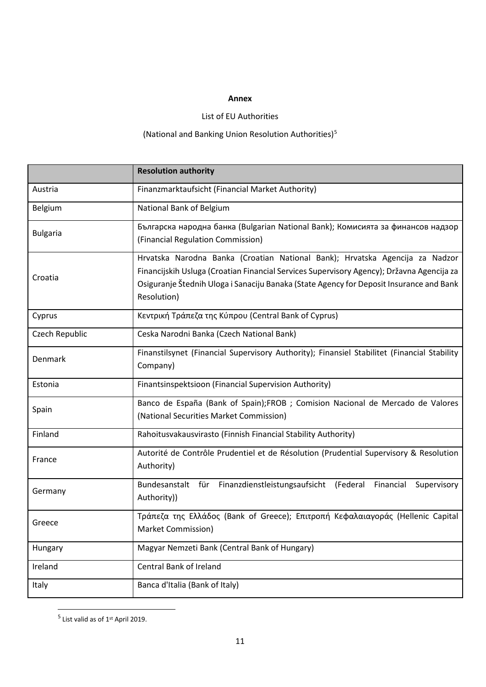#### **Annex**

# List of EU Authorities

# (National and Banking Union Resolution Authorities)[5](#page-10-0)

|                 | <b>Resolution authority</b>                                                                                                                                                                                                                                                         |
|-----------------|-------------------------------------------------------------------------------------------------------------------------------------------------------------------------------------------------------------------------------------------------------------------------------------|
| Austria         | Finanzmarktaufsicht (Financial Market Authority)                                                                                                                                                                                                                                    |
| Belgium         | National Bank of Belgium                                                                                                                                                                                                                                                            |
| <b>Bulgaria</b> | Българска народна банка (Bulgarian National Bank); Комисията за финансов надзор<br>(Financial Regulation Commission)                                                                                                                                                                |
| Croatia         | Hrvatska Narodna Banka (Croatian National Bank); Hrvatska Agencija za Nadzor<br>Financijskih Usluga (Croatian Financial Services Supervisory Agency); Državna Agencija za<br>Osiguranje Štednih Uloga i Sanaciju Banaka (State Agency for Deposit Insurance and Bank<br>Resolution) |
| Cyprus          | Κεντρική Τράπεζα της Κύπρου (Central Bank of Cyprus)                                                                                                                                                                                                                                |
| Czech Republic  | Ceska Narodni Banka (Czech National Bank)                                                                                                                                                                                                                                           |
| Denmark         | Finanstilsynet (Financial Supervisory Authority); Finansiel Stabilitet (Financial Stability<br>Company)                                                                                                                                                                             |
| Estonia         | Finantsinspektsioon (Financial Supervision Authority)                                                                                                                                                                                                                               |
| Spain           | Banco de España (Bank of Spain); FROB ; Comision Nacional de Mercado de Valores<br>(National Securities Market Commission)                                                                                                                                                          |
| Finland         | Rahoitusvakausvirasto (Finnish Financial Stability Authority)                                                                                                                                                                                                                       |
| France          | Autorité de Contrôle Prudentiel et de Résolution (Prudential Supervisory & Resolution<br>Authority)                                                                                                                                                                                 |
| Germany         | Bundesanstalt für Finanzdienstleistungsaufsicht (Federal Financial<br>Supervisory<br>Authority))                                                                                                                                                                                    |
| Greece          | Τράπεζα της Ελλάδος (Bank of Greece); Επιτροπή Κεφαλαιαγοράς (Hellenic Capital<br>Market Commission)                                                                                                                                                                                |
| Hungary         | Magyar Nemzeti Bank (Central Bank of Hungary)                                                                                                                                                                                                                                       |
| Ireland         | Central Bank of Ireland                                                                                                                                                                                                                                                             |
| Italy           | Banca d'Italia (Bank of Italy)                                                                                                                                                                                                                                                      |

<span id="page-10-0"></span> $<sup>5</sup>$  List valid as of 1st April 2019.</sup>

1